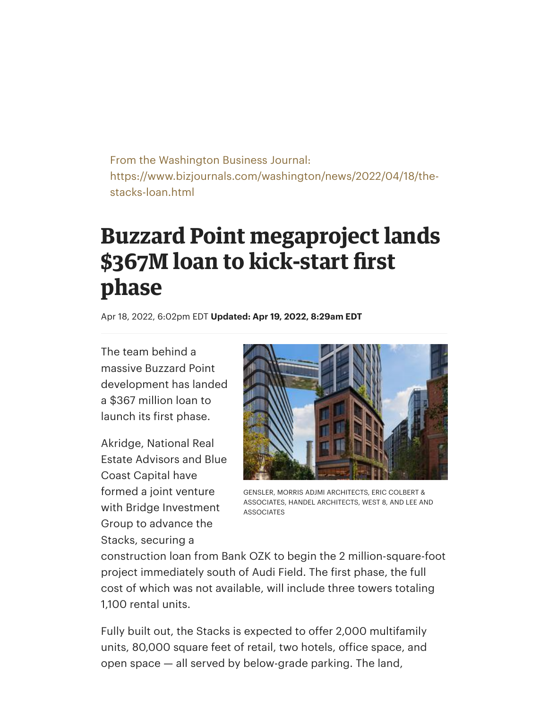From the Washington Business Journal: https://www.bizjournals.com/washington/news/2022/04/18/thestacks-loan.html

## **Buzzard Point megaproject lands \$367M loan to kick-start first phase**

Apr 18, 2022, 6:02pm EDT **Updated: Apr 19, 2022, 8:29am EDT**

The team behind a massive Buzzard Point development has landed a \$367 million loan to launch its first phase.

Akridge, National Real Estate Advisors and Blue Coast Capital have formed a joint venture with Bridge Investment Group to advance the Stacks, securing a



GENSLER, MORRIS ADJMI ARCHITECTS, ERIC COLBERT & ASSOCIATES, HANDEL ARCHITECTS, WEST 8, AND LEE AND ASSOCIATES

construction loan from Bank OZK to begin the 2 million-square-foot project immediately south of Audi Field. The first phase, the full cost of which was not available, will include three towers totaling 1,100 rental units.

Fully built out, the Stacks is expected to offer 2,000 multifamily units, 80,000 square feet of retail, two hotels, office space, and open space — all served by below-grade parking. The land,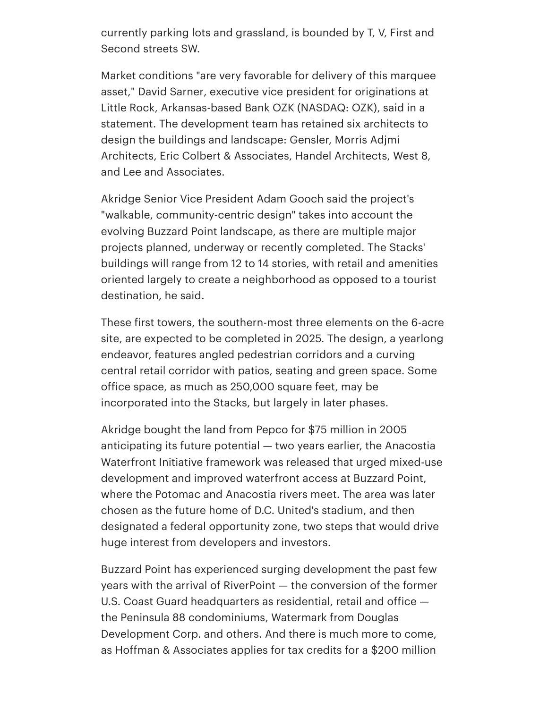currently parking lots and grassland, is bounded by T, V, First and Second streets SW.

Market conditions "are very favorable for delivery of this marquee asset," David [Sarner,](https://www.bizjournals.com/washington/search/results?q=David%20Sarner) executive vice president for originations at Little Rock, Arkansas-based Bank OZK (NASDAQ: OZK), said in a statement. The development team has retained six architects to design the buildings and landscape: Gensler, Morris Adjmi Architects, Eric Colbert & Associates, Handel Architects, West 8, and Lee and Associates.

Akridge Senior Vice President Adam [Gooch](https://www.bizjournals.com/washington/search/results?q=Adam%20Gooch) said the project's "walkable, community-centric design" takes into account the evolving Buzzard Point landscape, as there are multiple major projects planned, underway or recently completed. The Stacks' buildings will range from 12 to 14 stories, with retail and amenities oriented largely to create a neighborhood as opposed to a tourist destination, he said.

These first towers, the southern-most three elements on the 6-acre site, are expected to be completed in 2025. The design, a yearlong endeavor, features angled pedestrian corridors and a curving central retail corridor with patios, seating and green space. Some office space, as much as 250,000 square feet, may be incorporated into the Stacks, but largely in later phases.

Akridge [bought](https://www.bizjournals.com/washington/news/2017/08/10/the-forgotten-peninsula-how-d-c-s-buzzard-point-is.html) the land from Pepco for \$75 million in 2005 anticipating its future potential — two years earlier, the Anacostia Waterfront Initiative framework was released that urged mixed-use development and improved waterfront access at Buzzard Point, where the Potomac and Anacostia rivers meet. The area was later chosen as the future home of D.C. United's stadium, and then designated a federal opportunity zone, two steps that would drive huge interest from developers and investors.

Buzzard Point has experienced surging development the past few years with the arrival of RiverPoint — the conversion of the former U.S. Coast Guard headquarters as residential, retail and office the Peninsula 88 condominiums, Watermark from Douglas Development Corp. and others. And there is much more to come, as Hoffman & [Associates](https://www.bizjournals.com/washington/news/2022/02/25/two-tower-development-voa-hq-by-audi-field-clears.html) applies for tax credits for a \$200 million